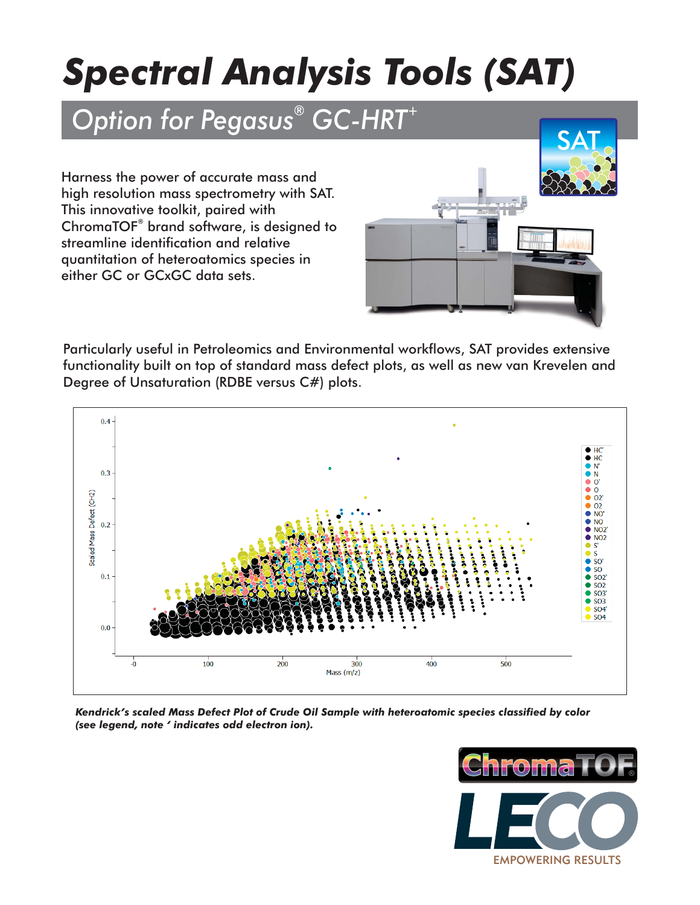## *Spectral Analysis Tools (SAT)*

## **Option for Pegasus<sup>®</sup> GC-HRT<sup>+</sup>**

Harness the power of accurate mass and high resolution mass spectrometry with SAT. This innovative toolkit, paired with ChromaTOF<sup>®</sup> brand software, is designed to streamline identification and relative quantitation of heteroatomics species in either GC or GCxGC data sets.



Particularly useful in Petroleomics and Environmental workflows, SAT provides extensive functionality built on top of standard mass defect plots, as well as new van Krevelen and Degree of Unsaturation (RDBE versus C#) plots.



*Kendrick's scaled Mass Defect Plot of Crude Oil Sample with heteroatomic species classified by color (see legend, note ' indicates odd electron ion).*